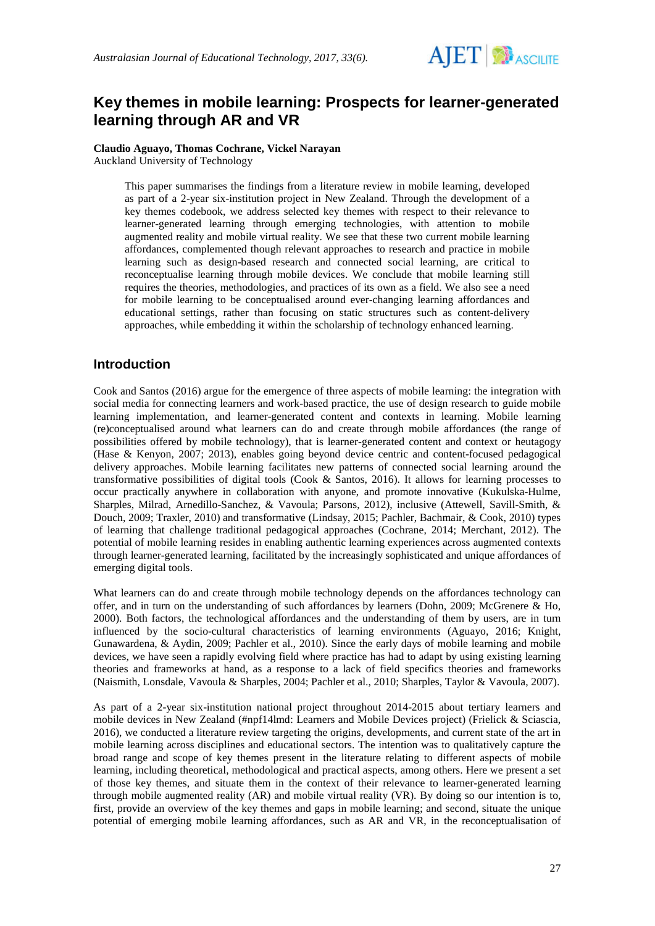

# **Key themes in mobile learning: Prospects for learner-generated learning through AR and VR**

#### **Claudio Aguayo, Thomas Cochrane, Vickel Narayan** Auckland University of Technology

This paper summarises the findings from a literature review in mobile learning, developed as part of a 2-year six-institution project in New Zealand. Through the development of a key themes codebook, we address selected key themes with respect to their relevance to learner-generated learning through emerging technologies, with attention to mobile augmented reality and mobile virtual reality. We see that these two current mobile learning affordances, complemented though relevant approaches to research and practice in mobile learning such as design-based research and connected social learning, are critical to reconceptualise learning through mobile devices. We conclude that mobile learning still requires the theories, methodologies, and practices of its own as a field. We also see a need for mobile learning to be conceptualised around ever-changing learning affordances and educational settings, rather than focusing on static structures such as content-delivery approaches, while embedding it within the scholarship of technology enhanced learning.

## **Introduction**

Cook and Santos (2016) argue for the emergence of three aspects of mobile learning: the integration with social media for connecting learners and work-based practice, the use of design research to guide mobile learning implementation, and learner-generated content and contexts in learning. Mobile learning (re)conceptualised around what learners can do and create through mobile affordances (the range of possibilities offered by mobile technology), that is learner-generated content and context or heutagogy (Hase & Kenyon, 2007; 2013), enables going beyond device centric and content-focused pedagogical delivery approaches. Mobile learning facilitates new patterns of connected social learning around the transformative possibilities of digital tools (Cook & Santos, 2016). It allows for learning processes to occur practically anywhere in collaboration with anyone, and promote innovative (Kukulska-Hulme, Sharples, Milrad, Arnedillo-Sanchez, & Vavoula; Parsons, 2012), inclusive (Attewell, Savill-Smith, & Douch, 2009; Traxler, 2010) and transformative (Lindsay, 2015; Pachler, Bachmair, & Cook, 2010) types of learning that challenge traditional pedagogical approaches (Cochrane, 2014; Merchant, 2012). The potential of mobile learning resides in enabling authentic learning experiences across augmented contexts through learner-generated learning, facilitated by the increasingly sophisticated and unique affordances of emerging digital tools.

What learners can do and create through mobile technology depends on the affordances technology can offer, and in turn on the understanding of such affordances by learners (Dohn, 2009; McGrenere & Ho, 2000). Both factors, the technological affordances and the understanding of them by users, are in turn influenced by the socio-cultural characteristics of learning environments (Aguayo, 2016; Knight, Gunawardena, & Aydin, 2009; Pachler et al., 2010). Since the early days of mobile learning and mobile devices, we have seen a rapidly evolving field where practice has had to adapt by using existing learning theories and frameworks at hand, as a response to a lack of field specifics theories and frameworks (Naismith, Lonsdale, Vavoula & Sharples, 2004; Pachler et al., 2010; Sharples, Taylor & Vavoula, 2007).

As part of a 2-year six-institution national project throughout 2014-2015 about tertiary learners and mobile devices in New Zealand (#npf14lmd: Learners and Mobile Devices project) (Frielick & Sciascia, 2016), we conducted a literature review targeting the origins, developments, and current state of the art in mobile learning across disciplines and educational sectors. The intention was to qualitatively capture the broad range and scope of key themes present in the literature relating to different aspects of mobile learning, including theoretical, methodological and practical aspects, among others. Here we present a set of those key themes, and situate them in the context of their relevance to learner-generated learning through mobile augmented reality (AR) and mobile virtual reality (VR). By doing so our intention is to, first, provide an overview of the key themes and gaps in mobile learning; and second, situate the unique potential of emerging mobile learning affordances, such as AR and VR, in the reconceptualisation of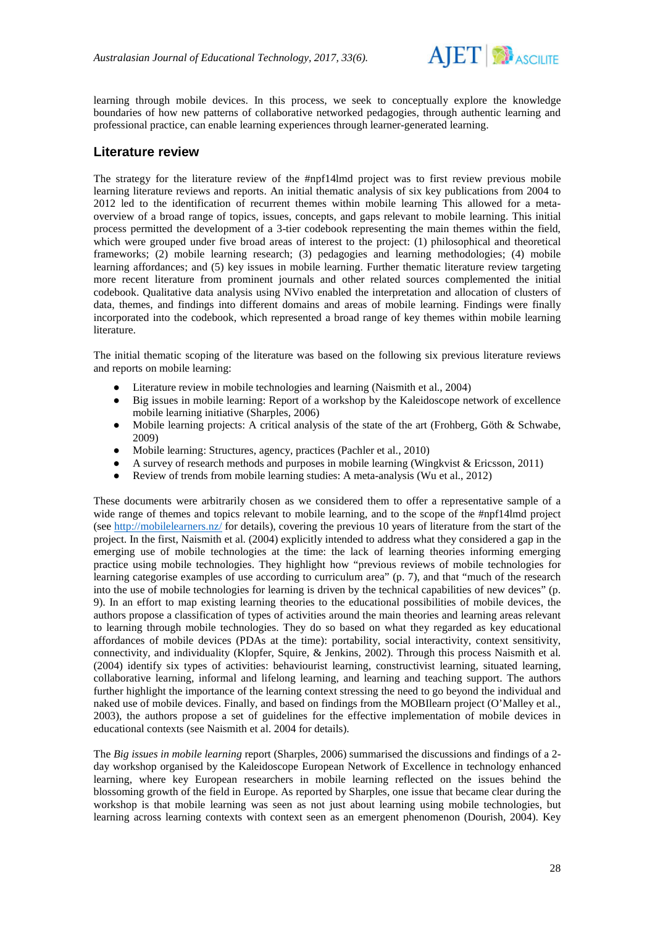

learning through mobile devices. In this process, we seek to conceptually explore the knowledge boundaries of how new patterns of collaborative networked pedagogies, through authentic learning and professional practice, can enable learning experiences through learner-generated learning.

### **Literature review**

The strategy for the literature review of the #npf14lmd project was to first review previous mobile learning literature reviews and reports. An initial thematic analysis of six key publications from 2004 to 2012 led to the identification of recurrent themes within mobile learning This allowed for a metaoverview of a broad range of topics, issues, concepts, and gaps relevant to mobile learning. This initial process permitted the development of a 3-tier codebook representing the main themes within the field, which were grouped under five broad areas of interest to the project: (1) philosophical and theoretical frameworks; (2) mobile learning research; (3) pedagogies and learning methodologies; (4) mobile learning affordances; and (5) key issues in mobile learning. Further thematic literature review targeting more recent literature from prominent journals and other related sources complemented the initial codebook. Qualitative data analysis using NVivo enabled the interpretation and allocation of clusters of data, themes, and findings into different domains and areas of mobile learning. Findings were finally incorporated into the codebook, which represented a broad range of key themes within mobile learning literature.

The initial thematic scoping of the literature was based on the following six previous literature reviews and reports on mobile learning:

- Literature review in mobile technologies and learning (Naismith et al., 2004)
- Big issues in mobile learning: Report of a workshop by the Kaleidoscope network of excellence mobile learning initiative (Sharples, 2006)
- Mobile learning projects: A critical analysis of the state of the art (Frohberg, Göth & Schwabe, 2009)
- Mobile learning: Structures, agency, practices (Pachler et al., 2010)
- A survey of research methods and purposes in mobile learning (Wingkvist & Ericsson, 2011)
- Review of trends from mobile learning studies: A meta-analysis (Wu et al., 2012)

These documents were arbitrarily chosen as we considered them to offer a representative sample of a wide range of themes and topics relevant to mobile learning, and to the scope of the #npf14lmd project (see <http://mobilelearners.nz/> for details), covering the previous 10 years of literature from the start of the project. In the first, Naismith et al. (2004) explicitly intended to address what they considered a gap in the emerging use of mobile technologies at the time: the lack of learning theories informing emerging practice using mobile technologies. They highlight how "previous reviews of mobile technologies for learning categorise examples of use according to curriculum area" (p. 7), and that "much of the research into the use of mobile technologies for learning is driven by the technical capabilities of new devices" (p. 9). In an effort to map existing learning theories to the educational possibilities of mobile devices, the authors propose a classification of types of activities around the main theories and learning areas relevant to learning through mobile technologies. They do so based on what they regarded as key educational affordances of mobile devices (PDAs at the time): portability, social interactivity, context sensitivity, connectivity, and individuality (Klopfer, Squire, & Jenkins, 2002). Through this process Naismith et al. (2004) identify six types of activities: behaviourist learning, constructivist learning, situated learning, collaborative learning, informal and lifelong learning, and learning and teaching support. The authors further highlight the importance of the learning context stressing the need to go beyond the individual and naked use of mobile devices. Finally, and based on findings from the MOBIlearn project (O'Malley et al., 2003), the authors propose a set of guidelines for the effective implementation of mobile devices in educational contexts (see Naismith et al. 2004 for details).

The *Big issues in mobile learning* report (Sharples, 2006) summarised the discussions and findings of a 2 day workshop organised by the Kaleidoscope European Network of Excellence in technology enhanced learning, where key European researchers in mobile learning reflected on the issues behind the blossoming growth of the field in Europe. As reported by Sharples, one issue that became clear during the workshop is that mobile learning was seen as not just about learning using mobile technologies, but learning across learning contexts with context seen as an emergent phenomenon (Dourish, 2004). Key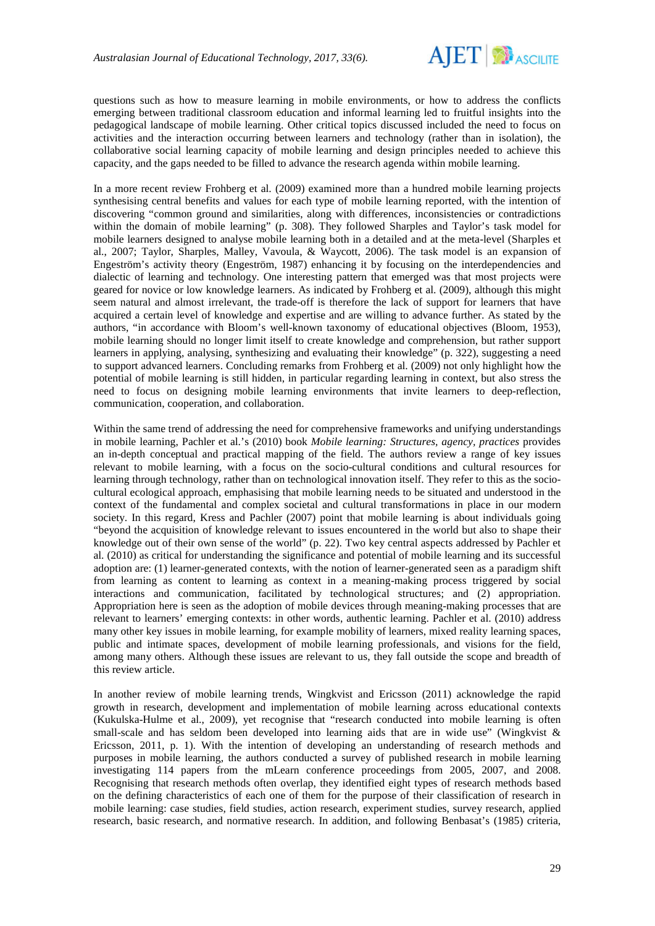

questions such as how to measure learning in mobile environments, or how to address the conflicts emerging between traditional classroom education and informal learning led to fruitful insights into the pedagogical landscape of mobile learning. Other critical topics discussed included the need to focus on activities and the interaction occurring between learners and technology (rather than in isolation), the collaborative social learning capacity of mobile learning and design principles needed to achieve this capacity, and the gaps needed to be filled to advance the research agenda within mobile learning.

In a more recent review Frohberg et al. (2009) examined more than a hundred mobile learning projects synthesising central benefits and values for each type of mobile learning reported, with the intention of discovering "common ground and similarities, along with differences, inconsistencies or contradictions within the domain of mobile learning" (p. 308). They followed Sharples and Taylor's task model for mobile learners designed to analyse mobile learning both in a detailed and at the meta-level (Sharples et al., 2007; Taylor, Sharples, Malley, Vavoula, & Waycott, 2006). The task model is an expansion of Engeström's activity theory (Engeström, 1987) enhancing it by focusing on the interdependencies and dialectic of learning and technology. One interesting pattern that emerged was that most projects were geared for novice or low knowledge learners. As indicated by Frohberg et al. (2009), although this might seem natural and almost irrelevant, the trade-off is therefore the lack of support for learners that have acquired a certain level of knowledge and expertise and are willing to advance further. As stated by the authors, "in accordance with Bloom's well-known taxonomy of educational objectives (Bloom, 1953), mobile learning should no longer limit itself to create knowledge and comprehension, but rather support learners in applying, analysing, synthesizing and evaluating their knowledge" (p. 322), suggesting a need to support advanced learners. Concluding remarks from Frohberg et al. (2009) not only highlight how the potential of mobile learning is still hidden, in particular regarding learning in context, but also stress the need to focus on designing mobile learning environments that invite learners to deep-reflection, communication, cooperation, and collaboration.

Within the same trend of addressing the need for comprehensive frameworks and unifying understandings in mobile learning, Pachler et al.'s (2010) book *Mobile learning: Structures, agency, practices* provides an in-depth conceptual and practical mapping of the field. The authors review a range of key issues relevant to mobile learning, with a focus on the socio-cultural conditions and cultural resources for learning through technology, rather than on technological innovation itself. They refer to this as the sociocultural ecological approach, emphasising that mobile learning needs to be situated and understood in the context of the fundamental and complex societal and cultural transformations in place in our modern society. In this regard, Kress and Pachler (2007) point that mobile learning is about individuals going "beyond the acquisition of knowledge relevant to issues encountered in the world but also to shape their knowledge out of their own sense of the world" (p. 22). Two key central aspects addressed by Pachler et al. (2010) as critical for understanding the significance and potential of mobile learning and its successful adoption are: (1) learner-generated contexts, with the notion of learner-generated seen as a paradigm shift from learning as content to learning as context in a meaning-making process triggered by social interactions and communication, facilitated by technological structures; and (2) appropriation. Appropriation here is seen as the adoption of mobile devices through meaning-making processes that are relevant to learners' emerging contexts: in other words, authentic learning. Pachler et al. (2010) address many other key issues in mobile learning, for example mobility of learners, mixed reality learning spaces, public and intimate spaces, development of mobile learning professionals, and visions for the field, among many others. Although these issues are relevant to us, they fall outside the scope and breadth of this review article.

In another review of mobile learning trends, Wingkvist and Ericsson (2011) acknowledge the rapid growth in research, development and implementation of mobile learning across educational contexts (Kukulska-Hulme et al., 2009), yet recognise that "research conducted into mobile learning is often small-scale and has seldom been developed into learning aids that are in wide use" (Wingkvist  $\&$ Ericsson, 2011, p. 1). With the intention of developing an understanding of research methods and purposes in mobile learning, the authors conducted a survey of published research in mobile learning investigating 114 papers from the mLearn conference proceedings from 2005, 2007, and 2008. Recognising that research methods often overlap, they identified eight types of research methods based on the defining characteristics of each one of them for the purpose of their classification of research in mobile learning: case studies, field studies, action research, experiment studies, survey research, applied research, basic research, and normative research. In addition, and following Benbasat's (1985) criteria,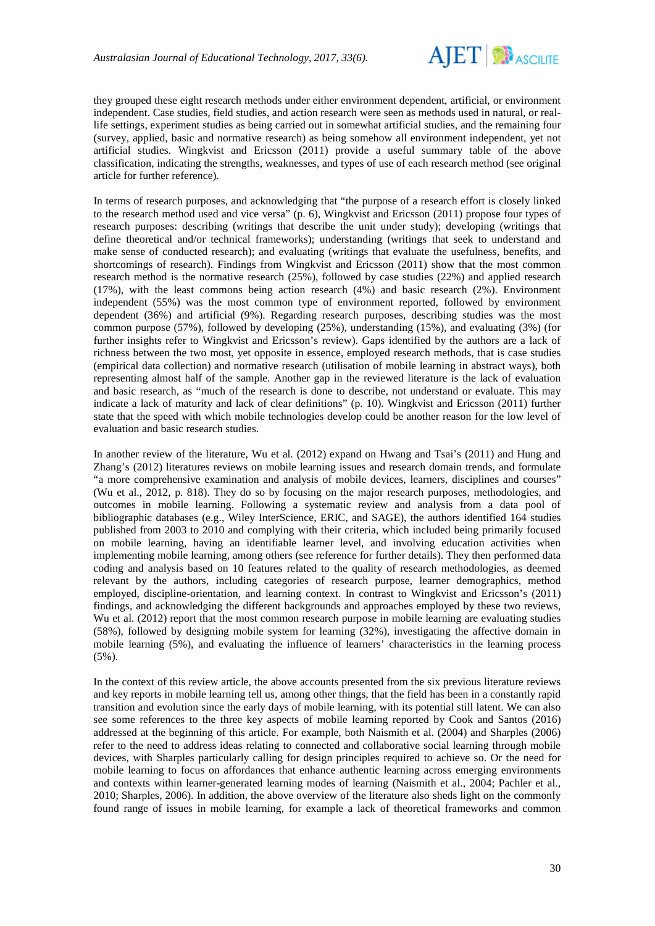

they grouped these eight research methods under either environment dependent, artificial, or environment independent. Case studies, field studies, and action research were seen as methods used in natural, or reallife settings, experiment studies as being carried out in somewhat artificial studies, and the remaining four (survey, applied, basic and normative research) as being somehow all environment independent, yet not artificial studies. Wingkvist and Ericsson (2011) provide a useful summary table of the above classification, indicating the strengths, weaknesses, and types of use of each research method (see original article for further reference).

In terms of research purposes, and acknowledging that "the purpose of a research effort is closely linked to the research method used and vice versa" (p. 6), Wingkvist and Ericsson (2011) propose four types of research purposes: describing (writings that describe the unit under study); developing (writings that define theoretical and/or technical frameworks); understanding (writings that seek to understand and make sense of conducted research); and evaluating (writings that evaluate the usefulness, benefits, and shortcomings of research). Findings from Wingkvist and Ericsson (2011) show that the most common research method is the normative research (25%), followed by case studies (22%) and applied research (17%), with the least commons being action research (4%) and basic research (2%). Environment independent (55%) was the most common type of environment reported, followed by environment dependent (36%) and artificial (9%). Regarding research purposes, describing studies was the most common purpose (57%), followed by developing (25%), understanding (15%), and evaluating (3%) (for further insights refer to Wingkvist and Ericsson's review). Gaps identified by the authors are a lack of richness between the two most, yet opposite in essence, employed research methods, that is case studies (empirical data collection) and normative research (utilisation of mobile learning in abstract ways), both representing almost half of the sample. Another gap in the reviewed literature is the lack of evaluation and basic research, as "much of the research is done to describe, not understand or evaluate. This may indicate a lack of maturity and lack of clear definitions" (p. 10). Wingkvist and Ericsson (2011) further state that the speed with which mobile technologies develop could be another reason for the low level of evaluation and basic research studies.

In another review of the literature, Wu et al. (2012) expand on Hwang and Tsai's (2011) and Hung and Zhang's (2012) literatures reviews on mobile learning issues and research domain trends, and formulate "a more comprehensive examination and analysis of mobile devices, learners, disciplines and courses" (Wu et al., 2012, p. 818). They do so by focusing on the major research purposes, methodologies, and outcomes in mobile learning. Following a systematic review and analysis from a data pool of bibliographic databases (e.g., Wiley InterScience, ERIC, and SAGE), the authors identified 164 studies published from 2003 to 2010 and complying with their criteria, which included being primarily focused on mobile learning, having an identifiable learner level, and involving education activities when implementing mobile learning, among others (see reference for further details). They then performed data coding and analysis based on 10 features related to the quality of research methodologies, as deemed relevant by the authors, including categories of research purpose, learner demographics, method employed, discipline-orientation, and learning context. In contrast to Wingkvist and Ericsson's (2011) findings, and acknowledging the different backgrounds and approaches employed by these two reviews, Wu et al. (2012) report that the most common research purpose in mobile learning are evaluating studies (58%), followed by designing mobile system for learning (32%), investigating the affective domain in mobile learning (5%), and evaluating the influence of learners' characteristics in the learning process (5%).

In the context of this review article, the above accounts presented from the six previous literature reviews and key reports in mobile learning tell us, among other things, that the field has been in a constantly rapid transition and evolution since the early days of mobile learning, with its potential still latent. We can also see some references to the three key aspects of mobile learning reported by Cook and Santos (2016) addressed at the beginning of this article. For example, both Naismith et al. (2004) and Sharples (2006) refer to the need to address ideas relating to connected and collaborative social learning through mobile devices, with Sharples particularly calling for design principles required to achieve so. Or the need for mobile learning to focus on affordances that enhance authentic learning across emerging environments and contexts within learner-generated learning modes of learning (Naismith et al., 2004; Pachler et al., 2010; Sharples, 2006). In addition, the above overview of the literature also sheds light on the commonly found range of issues in mobile learning, for example a lack of theoretical frameworks and common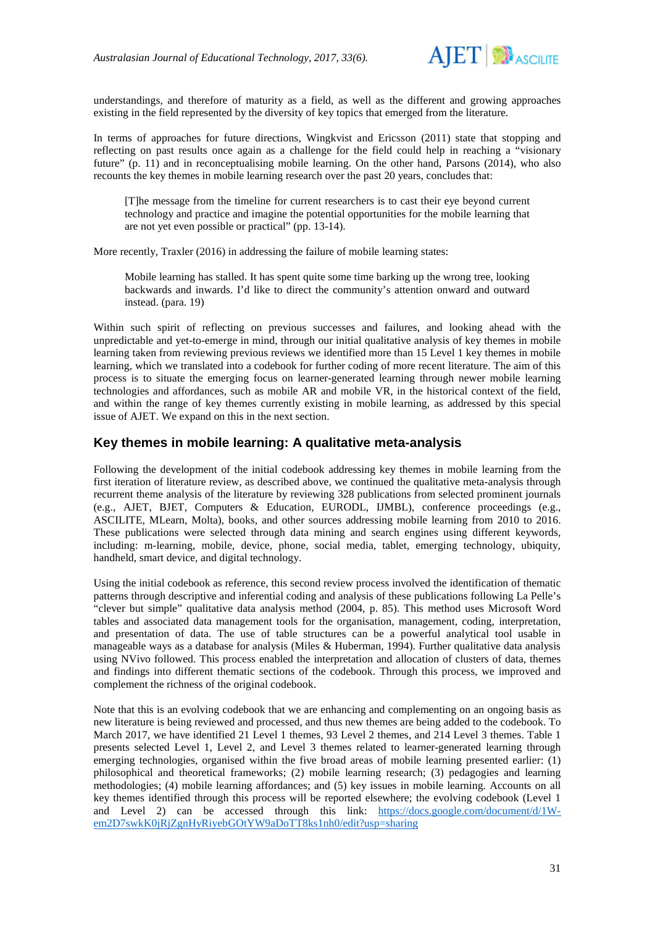

understandings, and therefore of maturity as a field, as well as the different and growing approaches existing in the field represented by the diversity of key topics that emerged from the literature.

In terms of approaches for future directions, Wingkvist and Ericsson (2011) state that stopping and reflecting on past results once again as a challenge for the field could help in reaching a "visionary future" (p. 11) and in reconceptualising mobile learning. On the other hand, Parsons (2014), who also recounts the key themes in mobile learning research over the past 20 years, concludes that:

[T]he message from the timeline for current researchers is to cast their eye beyond current technology and practice and imagine the potential opportunities for the mobile learning that are not yet even possible or practical" (pp. 13-14).

More recently, Traxler (2016) in addressing the failure of mobile learning states:

Mobile learning has stalled. It has spent quite some time barking up the wrong tree, looking backwards and inwards. I'd like to direct the community's attention onward and outward instead. (para. 19)

Within such spirit of reflecting on previous successes and failures, and looking ahead with the unpredictable and yet-to-emerge in mind, through our initial qualitative analysis of key themes in mobile learning taken from reviewing previous reviews we identified more than 15 Level 1 key themes in mobile learning, which we translated into a codebook for further coding of more recent literature. The aim of this process is to situate the emerging focus on learner-generated learning through newer mobile learning technologies and affordances, such as mobile AR and mobile VR, in the historical context of the field, and within the range of key themes currently existing in mobile learning, as addressed by this special issue of AJET. We expand on this in the next section.

## **Key themes in mobile learning: A qualitative meta-analysis**

Following the development of the initial codebook addressing key themes in mobile learning from the first iteration of literature review, as described above, we continued the qualitative meta-analysis through recurrent theme analysis of the literature by reviewing 328 publications from selected prominent journals (e.g., AJET, BJET, Computers & Education, EURODL, IJMBL), conference proceedings (e.g., ASCILITE, MLearn, Molta), books, and other sources addressing mobile learning from 2010 to 2016. These publications were selected through data mining and search engines using different keywords, including: m-learning, mobile, device, phone, social media, tablet, emerging technology, ubiquity, handheld, smart device, and digital technology.

Using the initial codebook as reference, this second review process involved the identification of thematic patterns through descriptive and inferential coding and analysis of these publications following La Pelle's "clever but simple" qualitative data analysis method (2004, p. 85). This method uses Microsoft Word tables and associated data management tools for the organisation, management, coding, interpretation, and presentation of data. The use of table structures can be a powerful analytical tool usable in manageable ways as a database for analysis (Miles & Huberman, 1994). Further qualitative data analysis using NVivo followed. This process enabled the interpretation and allocation of clusters of data, themes and findings into different thematic sections of the codebook. Through this process, we improved and complement the richness of the original codebook.

Note that this is an evolving codebook that we are enhancing and complementing on an ongoing basis as new literature is being reviewed and processed, and thus new themes are being added to the codebook. To March 2017, we have identified 21 Level 1 themes, 93 Level 2 themes, and 214 Level 3 themes. Table 1 presents selected Level 1, Level 2, and Level 3 themes related to learner-generated learning through emerging technologies, organised within the five broad areas of mobile learning presented earlier: (1) philosophical and theoretical frameworks; (2) mobile learning research; (3) pedagogies and learning methodologies; (4) mobile learning affordances; and (5) key issues in mobile learning. Accounts on all key themes identified through this process will be reported elsewhere; the evolving codebook (Level 1 and Level 2) can be accessed through this link: [https://docs.google.com/document/d/1W](https://docs.google.com/document/d/1W-em2D7swkK0jRjZgnHyRiyebGOtYW9aDoTT8ks1nh0/edit?usp=sharing)[em2D7swkK0jRjZgnHyRiyebGOtYW9aDoTT8ks1nh0/edit?usp=sharing](https://docs.google.com/document/d/1W-em2D7swkK0jRjZgnHyRiyebGOtYW9aDoTT8ks1nh0/edit?usp=sharing)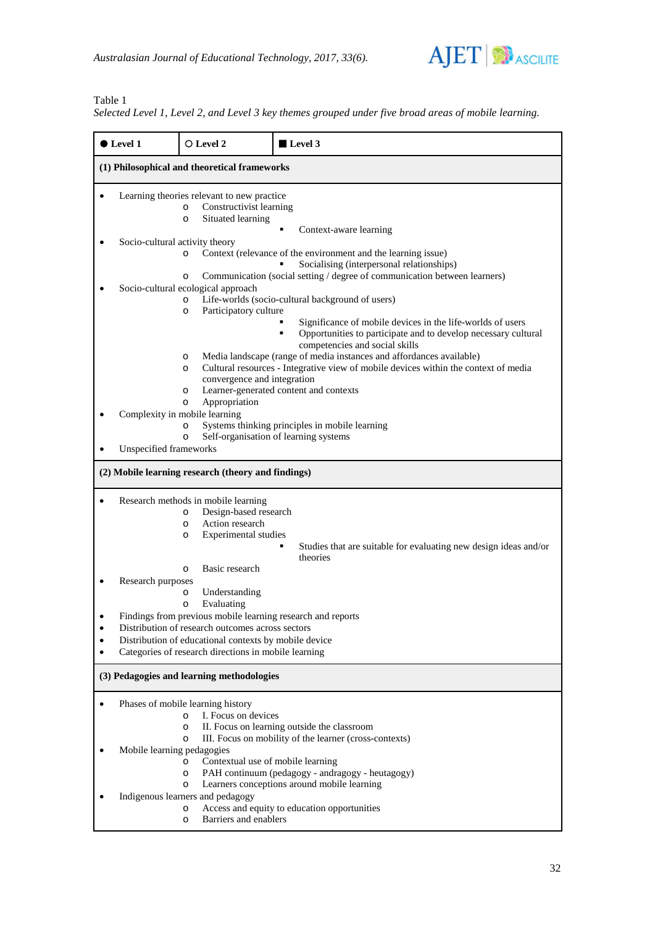

### Table 1

*Selected Level 1, Level 2, and Level 3 key themes grouped under five broad areas of mobile learning.*

| $\bullet$ Level 1                                  | O Level 2                                                                                                                                                                                                                                                                                                          | Level 3                                                                                                                                                                                                                              |  |
|----------------------------------------------------|--------------------------------------------------------------------------------------------------------------------------------------------------------------------------------------------------------------------------------------------------------------------------------------------------------------------|--------------------------------------------------------------------------------------------------------------------------------------------------------------------------------------------------------------------------------------|--|
| (1) Philosophical and theoretical frameworks       |                                                                                                                                                                                                                                                                                                                    |                                                                                                                                                                                                                                      |  |
|                                                    | Learning theories relevant to new practice<br>Constructivist learning<br>$\circ$<br>Situated learning<br>$\circ$                                                                                                                                                                                                   | Context-aware learning                                                                                                                                                                                                               |  |
| Socio-cultural activity theory                     | $\Omega$<br>$\circ$                                                                                                                                                                                                                                                                                                | Context (relevance of the environment and the learning issue)<br>Socialising (interpersonal relationships)<br>Communication (social setting / degree of communication between learners)                                              |  |
|                                                    | Socio-cultural ecological approach<br>$\Omega$<br>Participatory culture<br>$\circ$                                                                                                                                                                                                                                 | Life-worlds (socio-cultural background of users)<br>Significance of mobile devices in the life-worlds of users<br>Opportunities to participate and to develop necessary cultural<br>$\blacksquare$<br>competencies and social skills |  |
|                                                    | $\circ$<br>$\circ$<br>convergence and integration<br>$\circ$<br>Appropriation<br>$\circ$                                                                                                                                                                                                                           | Media landscape (range of media instances and affordances available)<br>Cultural resources - Integrative view of mobile devices within the context of media<br>Learner-generated content and contexts                                |  |
| Unspecified frameworks                             | Complexity in mobile learning<br>$\circ$<br>$\circ$                                                                                                                                                                                                                                                                | Systems thinking principles in mobile learning<br>Self-organisation of learning systems                                                                                                                                              |  |
| (2) Mobile learning research (theory and findings) |                                                                                                                                                                                                                                                                                                                    |                                                                                                                                                                                                                                      |  |
|                                                    | Research methods in mobile learning<br>Design-based research<br>$\circ$<br>Action research<br>$\circ$<br>Experimental studies<br>$\circ$                                                                                                                                                                           | Studies that are suitable for evaluating new design ideas and/or<br>٠<br>theories                                                                                                                                                    |  |
| Research purposes<br>$\bullet$<br>$\bullet$        | Basic research<br>$\circ$<br>Understanding<br>$\circ$<br>Evaluating<br>$\circ$<br>Findings from previous mobile learning research and reports<br>Distribution of research outcomes across sectors<br>Distribution of educational contexts by mobile device<br>Categories of research directions in mobile learning |                                                                                                                                                                                                                                      |  |
| (3) Pedagogies and learning methodologies          |                                                                                                                                                                                                                                                                                                                    |                                                                                                                                                                                                                                      |  |
|                                                    | Phases of mobile learning history<br>I. Focus on devices<br>$\Omega$<br>$\circ$<br>$\circ$                                                                                                                                                                                                                         | II. Focus on learning outside the classroom<br>III. Focus on mobility of the learner (cross-contexts)                                                                                                                                |  |
| Mobile learning pedagogies                         | Contextual use of mobile learning<br>$\circ$<br>$\circ$<br>$\circ$<br>Indigenous learners and pedagogy                                                                                                                                                                                                             | PAH continuum (pedagogy - andragogy - heutagogy)<br>Learners conceptions around mobile learning                                                                                                                                      |  |
|                                                    | $\circ$<br>Barriers and enablers<br>$\circ$                                                                                                                                                                                                                                                                        | Access and equity to education opportunities                                                                                                                                                                                         |  |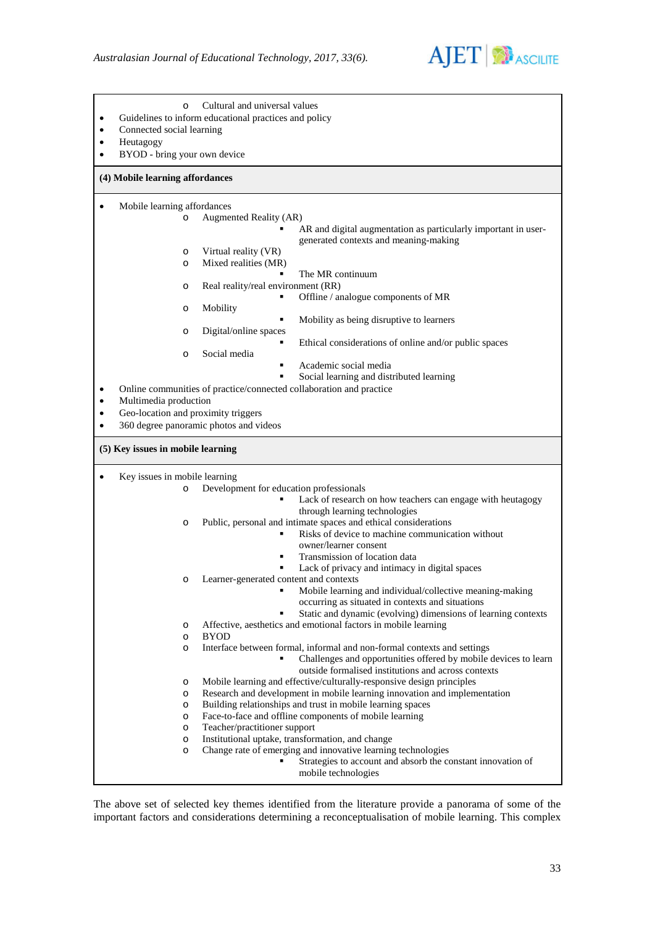

| Cultural and universal values<br>$\circ$<br>Guidelines to inform educational practices and policy<br>$\bullet$<br>Connected social learning<br>$\bullet$<br>Heutagogy<br>$\bullet$<br>BYOD - bring your own device<br>$\bullet$<br>(4) Mobile learning affordances |                                                                                                                                                                                                   |  |
|--------------------------------------------------------------------------------------------------------------------------------------------------------------------------------------------------------------------------------------------------------------------|---------------------------------------------------------------------------------------------------------------------------------------------------------------------------------------------------|--|
|                                                                                                                                                                                                                                                                    |                                                                                                                                                                                                   |  |
| Mobile learning affordances<br>$\bullet$<br>Augmented Reality (AR)<br>$\circ$                                                                                                                                                                                      |                                                                                                                                                                                                   |  |
|                                                                                                                                                                                                                                                                    | AR and digital augmentation as particularly important in user-<br>generated contexts and meaning-making                                                                                           |  |
| Virtual reality (VR)<br>$\circ$                                                                                                                                                                                                                                    |                                                                                                                                                                                                   |  |
| Mixed realities (MR)<br>$\circ$                                                                                                                                                                                                                                    | The MR continuum                                                                                                                                                                                  |  |
| Real reality/real environment (RR)<br>$\circ$                                                                                                                                                                                                                      |                                                                                                                                                                                                   |  |
|                                                                                                                                                                                                                                                                    | Offline / analogue components of MR                                                                                                                                                               |  |
| Mobility<br>O                                                                                                                                                                                                                                                      |                                                                                                                                                                                                   |  |
| Digital/online spaces<br>$\circ$                                                                                                                                                                                                                                   | Mobility as being disruptive to learners                                                                                                                                                          |  |
| Social media<br>$\circ$                                                                                                                                                                                                                                            | Ethical considerations of online and/or public spaces<br>٠                                                                                                                                        |  |
|                                                                                                                                                                                                                                                                    | Academic social media<br>٠                                                                                                                                                                        |  |
| Online communities of practice/connected collaboration and practice<br>$\bullet$                                                                                                                                                                                   | Social learning and distributed learning                                                                                                                                                          |  |
| Multimedia production<br>٠<br>Geo-location and proximity triggers<br>$\bullet$<br>360 degree panoramic photos and videos<br>$\bullet$                                                                                                                              |                                                                                                                                                                                                   |  |
| (5) Key issues in mobile learning                                                                                                                                                                                                                                  |                                                                                                                                                                                                   |  |
| Key issues in mobile learning<br>$\bullet$                                                                                                                                                                                                                         |                                                                                                                                                                                                   |  |
| $\circ$                                                                                                                                                                                                                                                            | Development for education professionals                                                                                                                                                           |  |
|                                                                                                                                                                                                                                                                    |                                                                                                                                                                                                   |  |
|                                                                                                                                                                                                                                                                    | Lack of research on how teachers can engage with heutagogy                                                                                                                                        |  |
| $\circ$                                                                                                                                                                                                                                                            | through learning technologies                                                                                                                                                                     |  |
|                                                                                                                                                                                                                                                                    | Public, personal and intimate spaces and ethical considerations<br>Risks of device to machine communication without                                                                               |  |
|                                                                                                                                                                                                                                                                    | owner/learner consent                                                                                                                                                                             |  |
|                                                                                                                                                                                                                                                                    | Transmission of location data<br>٠                                                                                                                                                                |  |
|                                                                                                                                                                                                                                                                    | Lack of privacy and intimacy in digital spaces                                                                                                                                                    |  |
| O                                                                                                                                                                                                                                                                  | Learner-generated content and contexts<br>Mobile learning and individual/collective meaning-making<br>٠                                                                                           |  |
|                                                                                                                                                                                                                                                                    | occurring as situated in contexts and situations                                                                                                                                                  |  |
|                                                                                                                                                                                                                                                                    | Static and dynamic (evolving) dimensions of learning contexts                                                                                                                                     |  |
| $\circ$                                                                                                                                                                                                                                                            | Affective, aesthetics and emotional factors in mobile learning                                                                                                                                    |  |
| <b>BYOD</b><br>$\circ$<br>$\circ$                                                                                                                                                                                                                                  |                                                                                                                                                                                                   |  |
|                                                                                                                                                                                                                                                                    | Interface between formal, informal and non-formal contexts and settings<br>Challenges and opportunities offered by mobile devices to learn<br>outside formalised institutions and across contexts |  |
| O                                                                                                                                                                                                                                                                  | Mobile learning and effective/culturally-responsive design principles                                                                                                                             |  |
| $\circ$                                                                                                                                                                                                                                                            | Research and development in mobile learning innovation and implementation                                                                                                                         |  |
| $\circ$                                                                                                                                                                                                                                                            | Building relationships and trust in mobile learning spaces                                                                                                                                        |  |
| $\circ$                                                                                                                                                                                                                                                            | Face-to-face and offline components of mobile learning                                                                                                                                            |  |
| Teacher/practitioner support<br>$\circ$<br>$\circ$                                                                                                                                                                                                                 | Institutional uptake, transformation, and change                                                                                                                                                  |  |
| $\circ$                                                                                                                                                                                                                                                            | Change rate of emerging and innovative learning technologies<br>Strategies to account and absorb the constant innovation of                                                                       |  |

The above set of selected key themes identified from the literature provide a panorama of some of the important factors and considerations determining a reconceptualisation of mobile learning. This complex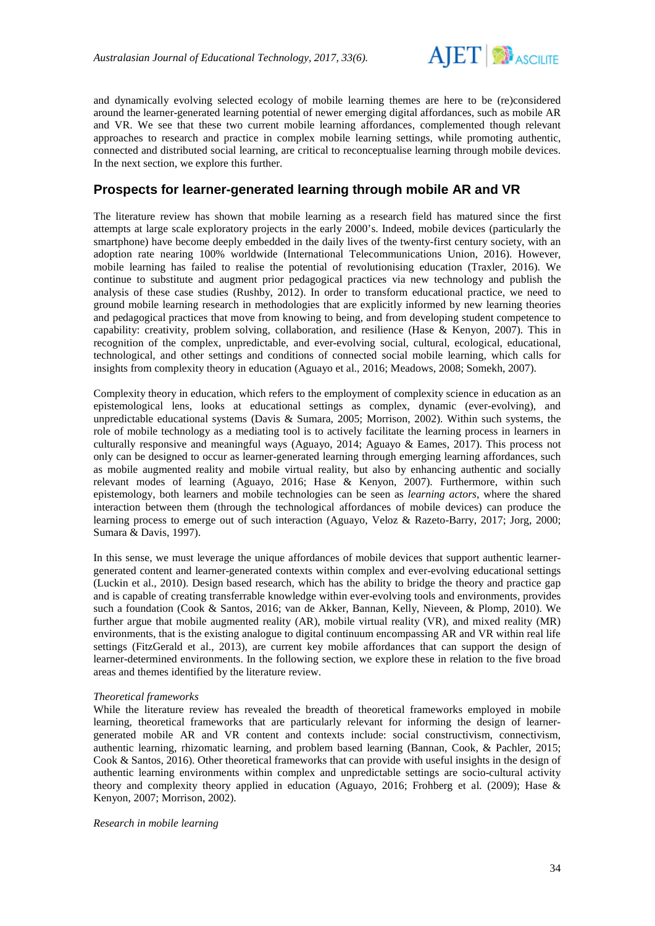

and dynamically evolving selected ecology of mobile learning themes are here to be (re)considered around the learner-generated learning potential of newer emerging digital affordances, such as mobile AR and VR. We see that these two current mobile learning affordances, complemented though relevant approaches to research and practice in complex mobile learning settings, while promoting authentic, connected and distributed social learning, are critical to reconceptualise learning through mobile devices. In the next section, we explore this further.

### **Prospects for learner-generated learning through mobile AR and VR**

The literature review has shown that mobile learning as a research field has matured since the first attempts at large scale exploratory projects in the early 2000's. Indeed, mobile devices (particularly the smartphone) have become deeply embedded in the daily lives of the twenty-first century society, with an adoption rate nearing 100% worldwide (International Telecommunications Union, 2016). However, mobile learning has failed to realise the potential of revolutionising education (Traxler, 2016). We continue to substitute and augment prior pedagogical practices via new technology and publish the analysis of these case studies (Rushby, 2012). In order to transform educational practice, we need to ground mobile learning research in methodologies that are explicitly informed by new learning theories and pedagogical practices that move from knowing to being, and from developing student competence to capability: creativity, problem solving, collaboration, and resilience (Hase & Kenyon, 2007). This in recognition of the complex, unpredictable, and ever-evolving social, cultural, ecological, educational, technological, and other settings and conditions of connected social mobile learning, which calls for insights from complexity theory in education (Aguayo et al., 2016; Meadows, 2008; Somekh, 2007).

Complexity theory in education, which refers to the employment of complexity science in education as an epistemological lens, looks at educational settings as complex, dynamic (ever-evolving), and unpredictable educational systems (Davis & Sumara, 2005; Morrison, 2002). Within such systems, the role of mobile technology as a mediating tool is to actively facilitate the learning process in learners in culturally responsive and meaningful ways (Aguayo, 2014; Aguayo & Eames, 2017). This process not only can be designed to occur as learner-generated learning through emerging learning affordances, such as mobile augmented reality and mobile virtual reality, but also by enhancing authentic and socially relevant modes of learning (Aguayo, 2016; Hase & Kenyon, 2007). Furthermore, within such epistemology, both learners and mobile technologies can be seen as *learning actors*, where the shared interaction between them (through the technological affordances of mobile devices) can produce the learning process to emerge out of such interaction (Aguayo, Veloz & Razeto-Barry, 2017; Jorg, 2000; Sumara & Davis, 1997).

In this sense, we must leverage the unique affordances of mobile devices that support authentic learnergenerated content and learner-generated contexts within complex and ever-evolving educational settings (Luckin et al., 2010). Design based research, which has the ability to bridge the theory and practice gap and is capable of creating transferrable knowledge within ever-evolving tools and environments, provides such a foundation (Cook & Santos, 2016; van de Akker, Bannan, Kelly, Nieveen, & Plomp, 2010). We further argue that mobile augmented reality (AR), mobile virtual reality (VR), and mixed reality (MR) environments, that is the existing analogue to digital continuum encompassing AR and VR within real life settings (FitzGerald et al., 2013), are current key mobile affordances that can support the design of learner-determined environments. In the following section, we explore these in relation to the five broad areas and themes identified by the literature review.

#### *Theoretical frameworks*

While the literature review has revealed the breadth of theoretical frameworks employed in mobile learning, theoretical frameworks that are particularly relevant for informing the design of learnergenerated mobile AR and VR content and contexts include: social constructivism, connectivism, authentic learning, rhizomatic learning, and problem based learning (Bannan, Cook, & Pachler, 2015; Cook & Santos, 2016). Other theoretical frameworks that can provide with useful insights in the design of authentic learning environments within complex and unpredictable settings are socio-cultural activity theory and complexity theory applied in education (Aguayo, 2016; Frohberg et al. (2009); Hase & Kenyon, 2007; Morrison, 2002).

*Research in mobile learning*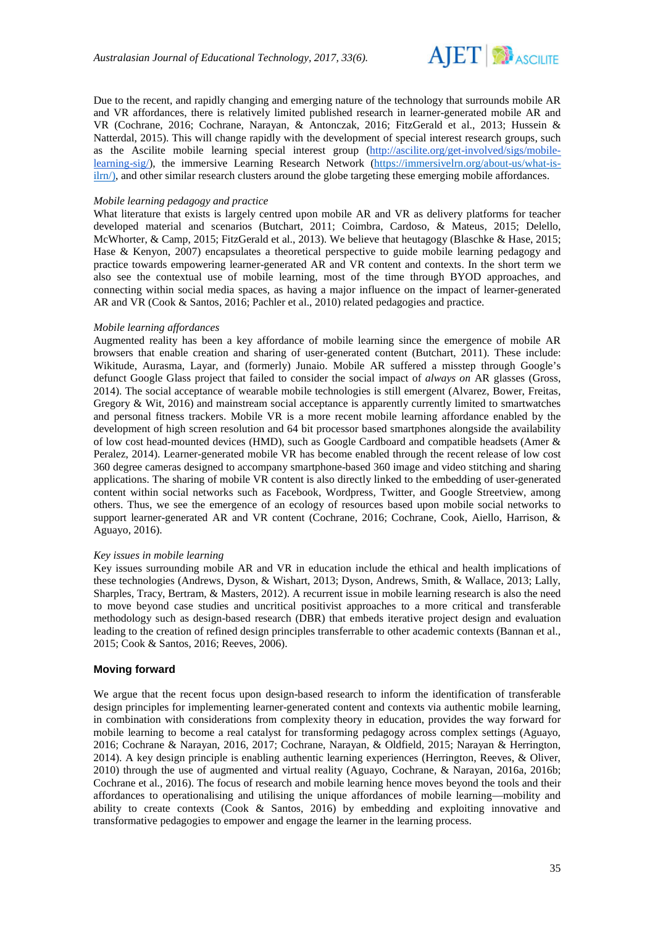

Due to the recent, and rapidly changing and emerging nature of the technology that surrounds mobile AR and VR affordances, there is relatively limited published research in learner-generated mobile AR and VR (Cochrane, 2016; Cochrane, Narayan, & Antonczak, 2016; FitzGerald et al., 2013; Hussein & Natterdal, 2015). This will change rapidly with the development of special interest research groups, such as the Ascilite mobile learning special interest group [\(http://ascilite.org/get-involved/sigs/mobile](http://ascilite.org/get-involved/sigs/mobile-learning-sig/)[learning-sig/\)](http://ascilite.org/get-involved/sigs/mobile-learning-sig/), the immersive Learning Research Network [\(https://immersivelrn.org/about-us/what-is](https://immersivelrn.org/about-us/what-is-ilrn/))[ilrn/\),](https://immersivelrn.org/about-us/what-is-ilrn/)) and other similar research clusters around the globe targeting these emerging mobile affordances.

#### *Mobile learning pedagogy and practice*

What literature that exists is largely centred upon mobile AR and VR as delivery platforms for teacher developed material and scenarios (Butchart, 2011; Coimbra, Cardoso, & Mateus, 2015; Delello, McWhorter, & Camp, 2015; FitzGerald et al., 2013). We believe that heutagogy (Blaschke & Hase, 2015; Hase & Kenyon, 2007) encapsulates a theoretical perspective to guide mobile learning pedagogy and practice towards empowering learner-generated AR and VR content and contexts. In the short term we also see the contextual use of mobile learning, most of the time through BYOD approaches, and connecting within social media spaces, as having a major influence on the impact of learner-generated AR and VR (Cook & Santos, 2016; Pachler et al., 2010) related pedagogies and practice.

#### *Mobile learning affordances*

Augmented reality has been a key affordance of mobile learning since the emergence of mobile AR browsers that enable creation and sharing of user-generated content (Butchart, 2011). These include: Wikitude, Aurasma, Layar, and (formerly) Junaio. Mobile AR suffered a misstep through Google's defunct Google Glass project that failed to consider the social impact of *always on* AR glasses (Gross, 2014). The social acceptance of wearable mobile technologies is still emergent (Alvarez, Bower, Freitas, Gregory & Wit, 2016) and mainstream social acceptance is apparently currently limited to smartwatches and personal fitness trackers. Mobile VR is a more recent mobile learning affordance enabled by the development of high screen resolution and 64 bit processor based smartphones alongside the availability of low cost head-mounted devices (HMD), such as Google Cardboard and compatible headsets (Amer & Peralez, 2014). Learner-generated mobile VR has become enabled through the recent release of low cost 360 degree cameras designed to accompany smartphone-based 360 image and video stitching and sharing applications. The sharing of mobile VR content is also directly linked to the embedding of user-generated content within social networks such as Facebook, Wordpress, Twitter, and Google Streetview, among others. Thus, we see the emergence of an ecology of resources based upon mobile social networks to support learner-generated AR and VR content (Cochrane, 2016; Cochrane, Cook, Aiello, Harrison, & Aguayo, 2016).

#### *Key issues in mobile learning*

Key issues surrounding mobile AR and VR in education include the ethical and health implications of these technologies (Andrews, Dyson, & Wishart, 2013; Dyson, Andrews, Smith, & Wallace, 2013; Lally, Sharples, Tracy, Bertram, & Masters, 2012). A recurrent issue in mobile learning research is also the need to move beyond case studies and uncritical positivist approaches to a more critical and transferable methodology such as design-based research (DBR) that embeds iterative project design and evaluation leading to the creation of refined design principles transferrable to other academic contexts (Bannan et al., 2015; Cook & Santos, 2016; Reeves, 2006).

#### **Moving forward**

We argue that the recent focus upon design-based research to inform the identification of transferable design principles for implementing learner-generated content and contexts via authentic mobile learning, in combination with considerations from complexity theory in education, provides the way forward for mobile learning to become a real catalyst for transforming pedagogy across complex settings (Aguayo, 2016; Cochrane & Narayan, 2016, 2017; Cochrane, Narayan, & Oldfield, 2015; Narayan & Herrington, 2014). A key design principle is enabling authentic learning experiences (Herrington, Reeves, & Oliver, 2010) through the use of augmented and virtual reality (Aguayo, Cochrane, & Narayan, 2016a, 2016b; Cochrane et al., 2016). The focus of research and mobile learning hence moves beyond the tools and their affordances to operationalising and utilising the unique affordances of mobile learning—mobility and ability to create contexts (Cook & Santos, 2016) by embedding and exploiting innovative and transformative pedagogies to empower and engage the learner in the learning process.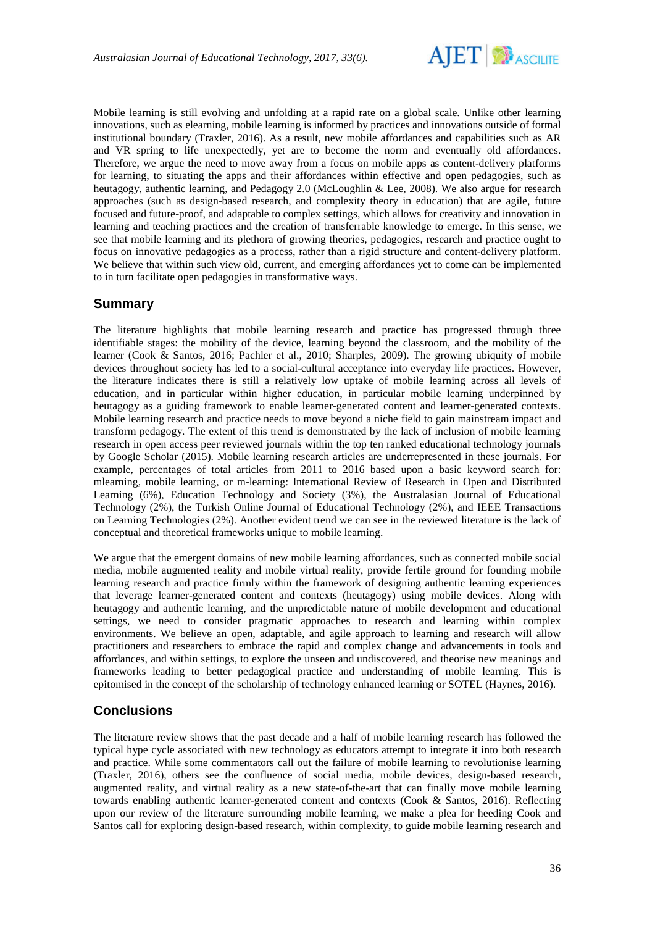

Mobile learning is still evolving and unfolding at a rapid rate on a global scale. Unlike other learning innovations, such as elearning, mobile learning is informed by practices and innovations outside of formal institutional boundary (Traxler, 2016). As a result, new mobile affordances and capabilities such as AR and VR spring to life unexpectedly, yet are to become the norm and eventually old affordances. Therefore, we argue the need to move away from a focus on mobile apps as content-delivery platforms for learning, to situating the apps and their affordances within effective and open pedagogies, such as heutagogy, authentic learning, and Pedagogy 2.0 (McLoughlin & Lee, 2008). We also argue for research approaches (such as design-based research, and complexity theory in education) that are agile, future focused and future-proof, and adaptable to complex settings, which allows for creativity and innovation in learning and teaching practices and the creation of transferrable knowledge to emerge. In this sense, we see that mobile learning and its plethora of growing theories, pedagogies, research and practice ought to focus on innovative pedagogies as a process, rather than a rigid structure and content-delivery platform. We believe that within such view old, current, and emerging affordances yet to come can be implemented to in turn facilitate open pedagogies in transformative ways.

## **Summary**

The literature highlights that mobile learning research and practice has progressed through three identifiable stages: the mobility of the device, learning beyond the classroom, and the mobility of the learner (Cook & Santos, 2016; Pachler et al., 2010; Sharples, 2009). The growing ubiquity of mobile devices throughout society has led to a social-cultural acceptance into everyday life practices. However, the literature indicates there is still a relatively low uptake of mobile learning across all levels of education, and in particular within higher education, in particular mobile learning underpinned by heutagogy as a guiding framework to enable learner-generated content and learner-generated contexts. Mobile learning research and practice needs to move beyond a niche field to gain mainstream impact and transform pedagogy. The extent of this trend is demonstrated by the lack of inclusion of mobile learning research in open access peer reviewed journals within the top ten ranked educational technology journals by Google Scholar (2015). Mobile learning research articles are underrepresented in these journals. For example, percentages of total articles from 2011 to 2016 based upon a basic keyword search for: mlearning, mobile learning, or m-learning: International Review of Research in Open and Distributed Learning (6%), Education Technology and Society (3%), the Australasian Journal of Educational Technology (2%), the Turkish Online Journal of Educational Technology (2%), and IEEE Transactions on Learning Technologies (2%). Another evident trend we can see in the reviewed literature is the lack of conceptual and theoretical frameworks unique to mobile learning.

We argue that the emergent domains of new mobile learning affordances, such as connected mobile social media, mobile augmented reality and mobile virtual reality, provide fertile ground for founding mobile learning research and practice firmly within the framework of designing authentic learning experiences that leverage learner-generated content and contexts (heutagogy) using mobile devices. Along with heutagogy and authentic learning, and the unpredictable nature of mobile development and educational settings, we need to consider pragmatic approaches to research and learning within complex environments. We believe an open, adaptable, and agile approach to learning and research will allow practitioners and researchers to embrace the rapid and complex change and advancements in tools and affordances, and within settings, to explore the unseen and undiscovered, and theorise new meanings and frameworks leading to better pedagogical practice and understanding of mobile learning. This is epitomised in the concept of the scholarship of technology enhanced learning or SOTEL (Haynes, 2016).

## **Conclusions**

The literature review shows that the past decade and a half of mobile learning research has followed the typical hype cycle associated with new technology as educators attempt to integrate it into both research and practice. While some commentators call out the failure of mobile learning to revolutionise learning (Traxler, 2016), others see the confluence of social media, mobile devices, design-based research, augmented reality, and virtual reality as a new state-of-the-art that can finally move mobile learning towards enabling authentic learner-generated content and contexts (Cook & Santos, 2016). Reflecting upon our review of the literature surrounding mobile learning, we make a plea for heeding Cook and Santos call for exploring design-based research, within complexity, to guide mobile learning research and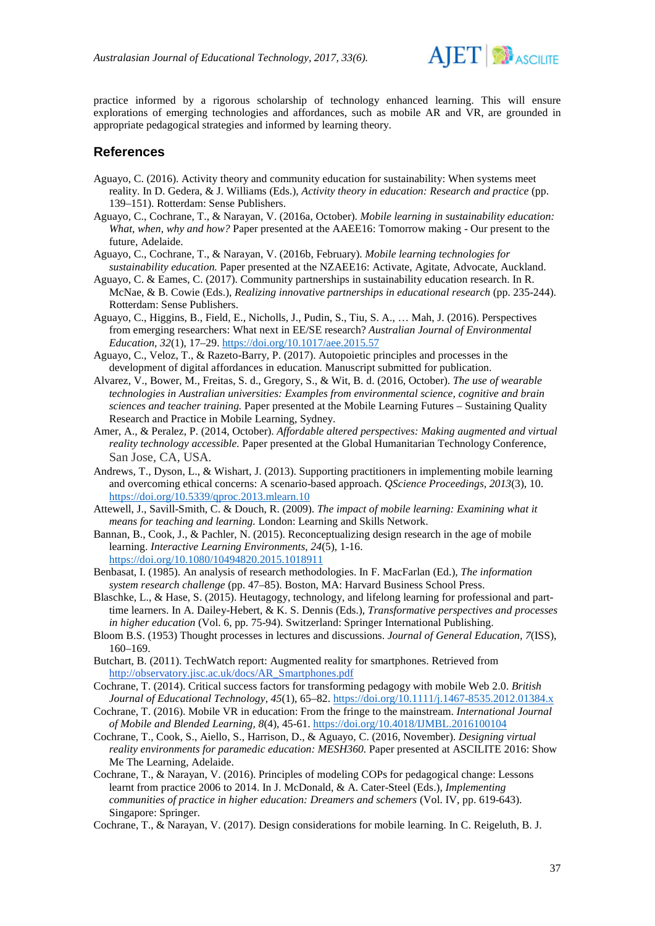

practice informed by a rigorous scholarship of technology enhanced learning. This will ensure explorations of emerging technologies and affordances, such as mobile AR and VR, are grounded in appropriate pedagogical strategies and informed by learning theory.

### **References**

- Aguayo, C. (2016). Activity theory and community education for sustainability: When systems meet reality. In D. Gedera, & J. Williams (Eds.), *Activity theory in education: Research and practice* (pp. 139–151). Rotterdam: Sense Publishers.
- Aguayo, C., Cochrane, T., & Narayan, V. (2016a, October). *Mobile learning in sustainability education: What, when, why and how?* Paper presented at the AAEE16: Tomorrow making - Our present to the future, Adelaide.
- Aguayo, C., Cochrane, T., & Narayan, V. (2016b, February). *Mobile learning technologies for sustainability education.* Paper presented at the NZAEE16: Activate, Agitate, Advocate, Auckland.
- Aguayo, C. & Eames, C. (2017). Community partnerships in sustainability education research. In R. McNae, & B. Cowie (Eds.), *Realizing innovative partnerships in educational research* (pp. 235-244). Rotterdam: Sense Publishers.
- Aguayo, C., Higgins, B., Field, E., Nicholls, J., Pudin, S., Tiu, S. A., … Mah, J. (2016). Perspectives from emerging researchers: What next in EE/SE research? *Australian Journal of Environmental Education*, *32*(1), 17–29.<https://doi.org/10.1017/aee.2015.57>
- Aguayo, C., Veloz, T., & Razeto-Barry, P. (2017). Autopoietic principles and processes in the development of digital affordances in education*.* Manuscript submitted for publication.
- Alvarez, V., Bower, M., Freitas, S. d., Gregory, S., & Wit, B. d. (2016, October). *The use of wearable technologies in Australian universities: Examples from environmental science, cognitive and brain sciences and teacher training.* Paper presented at the Mobile Learning Futures – Sustaining Quality Research and Practice in Mobile Learning, Sydney.
- Amer, A., & Peralez, P. (2014, October). *Affordable altered perspectives: Making augmented and virtual reality technology accessible.* Paper presented at the Global Humanitarian Technology Conference, San Jose, CA, USA.
- Andrews, T., Dyson, L., & Wishart, J. (2013). Supporting practitioners in implementing mobile learning and overcoming ethical concerns: A scenario-based approach. *QScience Proceedings, 2013*(3), 10. <https://doi.org/10.5339/qproc.2013.mlearn.10>
- Attewell, J., Savill-Smith, C. & Douch, R. (2009). *The impact of mobile learning: Examining what it means for teaching and learning.* London: Learning and Skills Network.
- Bannan, B., Cook, J., & Pachler, N. (2015). Reconceptualizing design research in the age of mobile learning. *Interactive Learning Environments, 24*(5), 1-16. <https://doi.org/10.1080/10494820.2015.1018911>
- Benbasat, I. (1985). An analysis of research methodologies. In F. MacFarlan (Ed.), *The information system research challenge* (pp. 47–85). Boston, MA: Harvard Business School Press.
- Blaschke, L., & Hase, S. (2015). Heutagogy, technology, and lifelong learning for professional and parttime learners. In A. Dailey-Hebert, & K. S. Dennis (Eds.), *Transformative perspectives and processes in higher education* (Vol. 6, pp. 75-94). Switzerland: Springer International Publishing.
- Bloom B.S. (1953) Thought processes in lectures and discussions. *Journal of General Education, 7*(ISS), 160–169.
- Butchart, B. (2011). TechWatch report: Augmented reality for smartphones. Retrieved from [http://observatory.jisc.ac.uk/docs/AR\\_Smartphones.pdf](http://observatory.jisc.ac.uk/docs/AR_Smartphones.pdf)
- Cochrane, T. (2014). Critical success factors for transforming pedagogy with mobile Web 2.0. *British Journal of Educational Technology*, *45*(1), 65–82.<https://doi.org/10.1111/j.1467-8535.2012.01384.x>
- Cochrane, T. (2016). Mobile VR in education: From the fringe to the mainstream. *International Journal of Mobile and Blended Learning, 8*(4), 45-61.<https://doi.org/10.4018/IJMBL.2016100104>
- Cochrane, T., Cook, S., Aiello, S., Harrison, D., & Aguayo, C. (2016, November). *Designing virtual reality environments for paramedic education: MESH360.* Paper presented at ASCILITE 2016: Show Me The Learning, Adelaide.
- Cochrane, T., & Narayan, V. (2016). Principles of modeling COPs for pedagogical change: Lessons learnt from practice 2006 to 2014. In J. McDonald, & A. Cater-Steel (Eds.), *Implementing communities of practice in higher education: Dreamers and schemers* (Vol. IV, pp. 619-643). Singapore: Springer.
- Cochrane, T., & Narayan, V. (2017). Design considerations for mobile learning. In C. Reigeluth, B. J.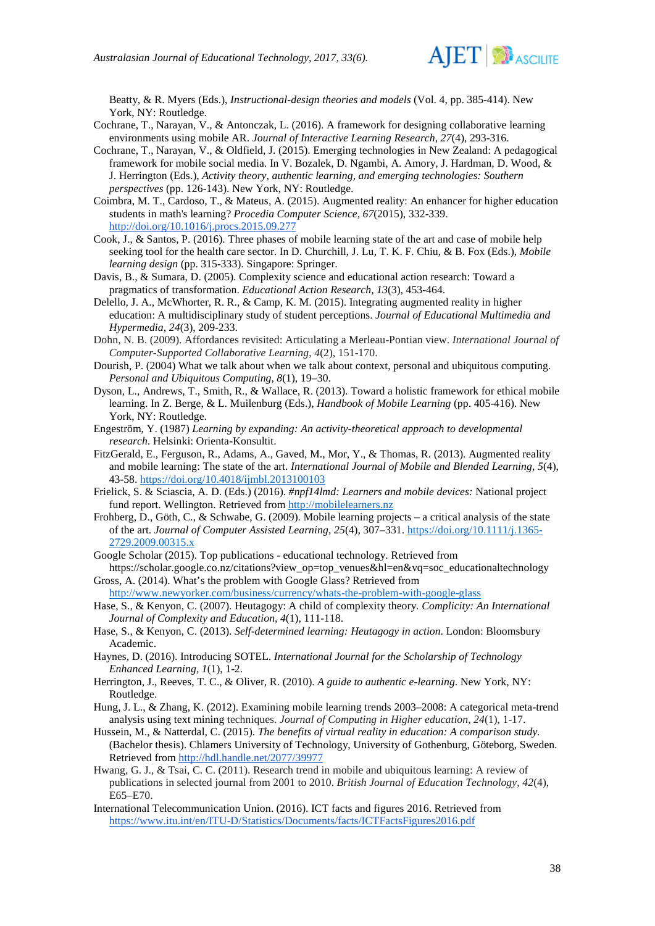

Beatty, & R. Myers (Eds.), *Instructional-design theories and models* (Vol. 4, pp. 385-414). New York, NY: Routledge.

- Cochrane, T., Narayan, V., & Antonczak, L. (2016). A framework for designing collaborative learning environments using mobile AR. *Journal of Interactive Learning Research, 27*(4), 293-316.
- Cochrane, T., Narayan, V., & Oldfield, J. (2015). Emerging technologies in New Zealand: A pedagogical framework for mobile social media. In V. Bozalek, D. Ngambi, A. Amory, J. Hardman, D. Wood, & J. Herrington (Eds.), *Activity theory, authentic learning, and emerging technologies: Southern perspectives* (pp. 126-143). New York, NY: Routledge.
- Coimbra, M. T., Cardoso, T., & Mateus, A. (2015). Augmented reality: An enhancer for higher education students in math's learning? *Procedia Computer Science, 67*(2015), 332-339. [http://doi.org/10.1016/j.procs.2015.09.277](http://dx.doi.org/10.1016/j.procs.2015.09.277)
- Cook, J., & Santos, P. (2016). Three phases of mobile learning state of the art and case of mobile help seeking tool for the health care sector. In D. Churchill, J. Lu, T. K. F. Chiu, & B. Fox (Eds.), *Mobile learning design* (pp. 315-333). Singapore: Springer.
- Davis, B., & Sumara, D. (2005). Complexity science and educational action research: Toward a pragmatics of transformation. *Educational Action Research, 13*(3), 453-464.
- Delello, J. A., McWhorter, R. R., & Camp, K. M. (2015). Integrating augmented reality in higher education: A multidisciplinary study of student perceptions. *Journal of Educational Multimedia and Hypermedia, 24*(3), 209-233.
- Dohn, N. B. (2009). Affordances revisited: Articulating a Merleau-Pontian view. *International Journal of Computer-Supported Collaborative Learning*, *4*(2), 151-170.
- Dourish, P. (2004) What we talk about when we talk about context, personal and ubiquitous computing. *Personal and Ubiquitous Computing, 8*(1), 19–30.
- Dyson, L., Andrews, T., Smith, R., & Wallace, R. (2013). Toward a holistic framework for ethical mobile learning. In Z. Berge, & L. Muilenburg (Eds.), *Handbook of Mobile Learning* (pp. 405-416). New York, NY: Routledge.
- Engeström, Y. (1987) *Learning by expanding: An activity-theoretical approach to developmental research*. Helsinki: Orienta-Konsultit.
- FitzGerald, E., Ferguson, R., Adams, A., Gaved, M., Mor, Y., & Thomas, R. (2013). Augmented reality and mobile learning: The state of the art. *International Journal of Mobile and Blended Learning, 5*(4), 43-58.<https://doi.org/10.4018/ijmbl.2013100103>
- Frielick, S. & Sciascia, A. D. (Eds.) (2016). *#npf14lmd: Learners and mobile devices:* National project fund report. Wellington. Retrieved from [http://mobilelearners.nz](http://mobilelearners.nz/)
- Frohberg, D., Göth, C., & Schwabe, G. (2009). Mobile learning projects a critical analysis of the state of the art. *Journal of Computer Assisted Learning, 25*(4), 307–331. [https://doi.org/10.1111/j.1365-](https://doi.org/10.1111/j.1365-2729.2009.00315.x) [2729.2009.00315.x](https://doi.org/10.1111/j.1365-2729.2009.00315.x)
- Google Scholar (2015). Top publications educational technology. Retrieved from https://scholar.google.co.nz/citations?view\_op=top\_venues&hl=en&vq=soc\_educationaltechnology
- Gross, A. (2014). What's the problem with Google Glass? Retrieved from <http://www.newyorker.com/business/currency/whats-the-problem-with-google-glass>
- Hase, S., & Kenyon, C. (2007). Heutagogy: A child of complexity theory. *Complicity: An International Journal of Complexity and Education, 4*(1), 111-118.
- Hase, S., & Kenyon, C. (2013). *Self-determined learning: Heutagogy in action*. London: Bloomsbury Academic.
- Haynes, D. (2016). Introducing SOTEL. *International Journal for the Scholarship of Technology Enhanced Learning, 1*(1), 1-2.
- Herrington, J., Reeves, T. C., & Oliver, R. (2010). *A guide to authentic e-learning*. New York, NY: Routledge.
- Hung, J. L., & Zhang, K. (2012). Examining mobile learning trends 2003–2008: A categorical meta-trend analysis using text mining techniques. *Journal of Computing in Higher education*, *24*(1), 1-17.
- Hussein, M., & Natterdal, C. (2015). *The benefits of virtual reality in education: A comparison study.* (Bachelor thesis). Chlamers University of Technology, University of Gothenburg, Göteborg, Sweden. Retrieved from <http://hdl.handle.net/2077/39977>
- Hwang, G. J., & Tsai, C. C. (2011). Research trend in mobile and ubiquitous learning: A review of publications in selected journal from 2001 to 2010. *British Journal of Education Technology, 42*(4), E65–E70.
- International Telecommunication Union. (2016). ICT facts and figures 2016. Retrieved fro[m](https://www.itu.int/en/ITU-D/Statistics/Documents/facts/ICTFactsFigures2016.pdf) <https://www.itu.int/en/ITU-D/Statistics/Documents/facts/ICTFactsFigures2016.pdf>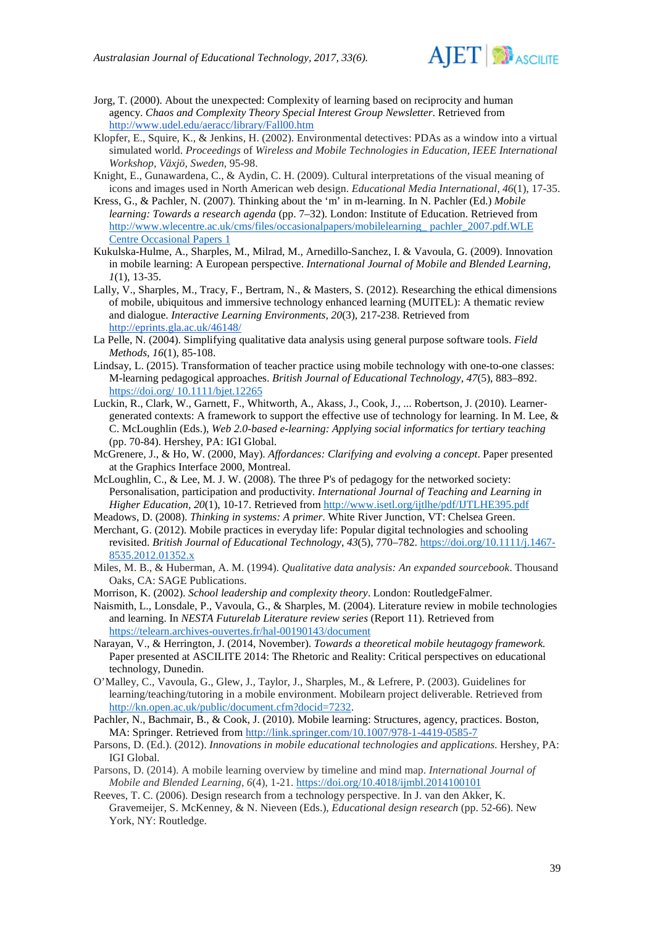

- Jorg, T. (2000). About the unexpected: Complexity of learning based on reciprocity and human agency. *Chaos and Complexity Theory Special Interest Group Newsletter*. Retrieved from <http://www.udel.edu/aeracc/library/Fall00.htm>
- Klopfer, E., Squire, K., & Jenkins, H. (2002). Environmental detectives: PDAs as a window into a virtual simulated world. *Proceedings* of *Wireless and Mobile Technologies in Education, IEEE International Workshop, Växjö, Sweden,* 95-98.
- Knight, E., Gunawardena, C., & Aydin, C. H. (2009). Cultural interpretations of the visual meaning of icons and images used in North American web design. *Educational Media International, 46*(1), 17-35.
- Kress, G., & Pachler, N. (2007). Thinking about the 'm' in m-learning. In N. Pachler (Ed.) *Mobile learning: Towards a research agenda* (pp. 7–32). London: Institute of Education. Retrieved from [http://www.wlecentre.ac.uk/cms/files/occasionalpapers/mobilelearning\\_ pachler\\_2007.pdf.WLE](http://www.wlecentre.ac.uk/cms/files/occasionalpapers/mobilelearning_%20pachler_2007.pdf.WLE%20Centre%20Occasional%20Papers%201)  [Centre Occasional Papers 1](http://www.wlecentre.ac.uk/cms/files/occasionalpapers/mobilelearning_%20pachler_2007.pdf.WLE%20Centre%20Occasional%20Papers%201)
- Kukulska-Hulme, A., Sharples, M., Milrad, M., Arnedillo-Sanchez, I. & Vavoula, G. (2009). Innovation in mobile learning: A European perspective. *International Journal of Mobile and Blended Learning, 1*(1), 13-35.
- Lally, V., Sharples, M., Tracy, F., Bertram, N., & Masters, S. (2012). Researching the ethical dimensions of mobile, ubiquitous and immersive technology enhanced learning (MUITEL): A thematic review and dialogue. *Interactive Learning Environments, 20*(3), 217-238. Retrieved from <http://eprints.gla.ac.uk/46148/>
- La Pelle, N. (2004). Simplifying qualitative data analysis using general purpose software tools. *Field Methods, 16*(1), 85-108.
- Lindsay, L. (2015). Transformation of teacher practice using mobile technology with one-to-one classes: M-learning pedagogical approaches. *British Journal of Educational Technology*, *47*(5), 883–892. https://doi.org/ [10.1111/bjet.12265](https://doi.org/%2010.1111/bjet.12265)
- Luckin, R., Clark, W., Garnett, F., Whitworth, A., Akass, J., Cook, J., ... Robertson, J. (2010). Learnergenerated contexts: A framework to support the effective use of technology for learning. In M. Lee, & C. McLoughlin (Eds.), *Web 2.0-based e-learning: Applying social informatics for tertiary teaching* (pp. 70-84). Hershey, PA: IGI Global.
- McGrenere, J., & Ho, W. (2000, May). *Affordances: Clarifying and evolving a concept*. Paper presented at the Graphics Interface 2000, Montreal.
- McLoughlin, C., & Lee, M. J. W. (2008). The three P's of pedagogy for the networked society: Personalisation, participation and productivity. *International Journal of Teaching and Learning in Higher Education, 20*(1), 10-17. Retrieved from <http://www.isetl.org/ijtlhe/pdf/IJTLHE395.pdf>
- Meadows, D. (2008). *Thinking in systems: A primer*. White River Junction, VT: Chelsea Green.
- Merchant, G. (2012). Mobile practices in everyday life: Popular digital technologies and schooling revisited. *British Journal of Educational Technology*, *43*(5), 770–782. [https://doi.org/10.1111/j.1467-](https://doi.org/10.1111/j.1467-8535.2012.01352.x) [8535.2012.01352.x](https://doi.org/10.1111/j.1467-8535.2012.01352.x)
- Miles, M. B., & Huberman, A. M. (1994). *Qualitative data analysis: An expanded sourcebook*. Thousand Oaks, CA: SAGE Publications.
- Morrison, K. (2002). *School leadership and complexity theory*. London: RoutledgeFalmer.
- Naismith, L., Lonsdale, P., Vavoula, G., & Sharples, M. (2004). Literature review in mobile technologies and learning. In *NESTA Futurelab Literature review series* (Report 11). Retrieved from <https://telearn.archives-ouvertes.fr/hal-00190143/document>
- Narayan, V., & Herrington, J. (2014, November). *Towards a theoretical mobile heutagogy framework.* Paper presented at ASCILITE 2014: The Rhetoric and Reality: Critical perspectives on educational technology, Dunedin.
- O'Malley, C., Vavoula, G., Glew, J., Taylor, J., Sharples, M., & Lefrere, P. (2003). Guidelines for learning/teaching/tutoring in a mobile environment. Mobilearn project deliverable. Retrieved from [http://kn.open.ac.uk/public/document.cfm?docid=7232.](http://kn.open.ac.uk/public/document.cfm?docid=7232)
- Pachler, N., Bachmair, B., & Cook, J. (2010). Mobile learning: Structures, agency, practices. Boston, MA: Springer. Retrieved from<http://link.springer.com/10.1007/978-1-4419-0585-7>
- Parsons, D. (Ed.). (2012). *Innovations in mobile educational technologies and applications*. Hershey, PA: IGI Global.
- Parsons, D. (2014). A mobile learning overview by timeline and mind map. *International Journal of Mobile and Blended Learning, 6*(4), 1-21.<https://doi.org/10.4018/ijmbl.2014100101>
- Reeves, T. C. (2006). Design research from a technology perspective. In J. van den Akker, K. Gravemeijer, S. McKenney, & N. Nieveen (Eds.), *Educational design research* (pp. 52-66). New York, NY: Routledge.